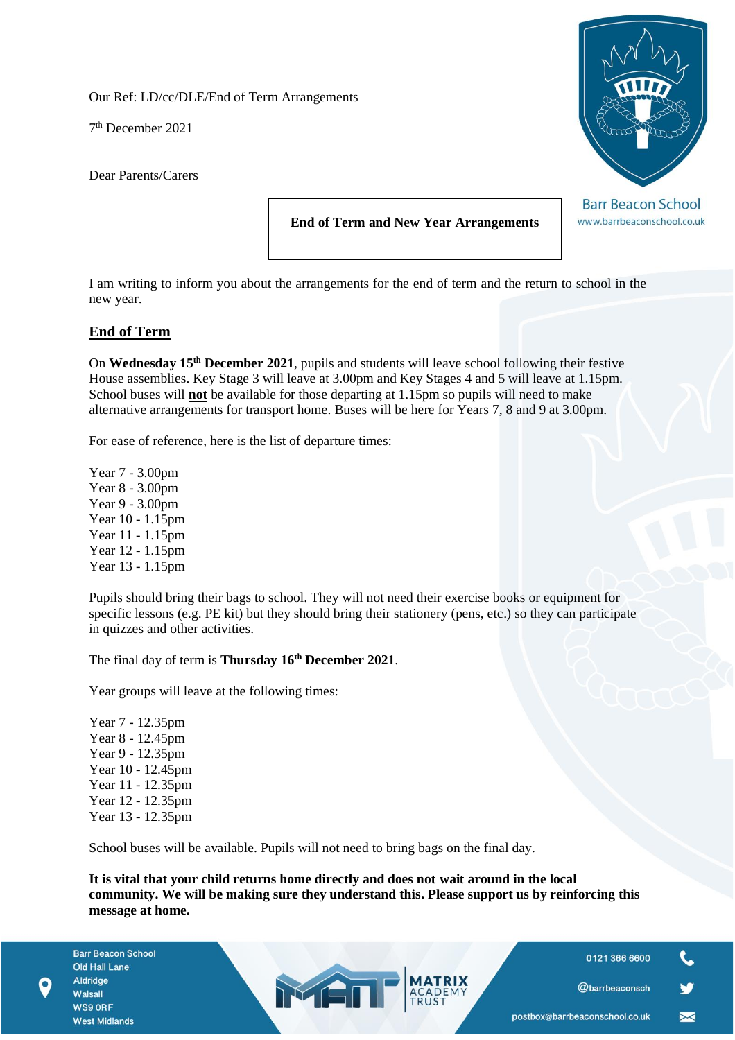Our Ref: LD/cc/DLE/End of Term Arrangements

7 th December 2021

Dear Parents/Carers



**Barr Beacon School** www.barrbeaconschool.co.uk

**End of Term and New Year Arrangements**

I am writing to inform you about the arrangements for the end of term and the return to school in the new year.

## **End of Term**

On **Wednesday 15th December 2021**, pupils and students will leave school following their festive House assemblies. Key Stage 3 will leave at 3.00pm and Key Stages 4 and 5 will leave at 1.15pm. School buses will **not** be available for those departing at 1.15pm so pupils will need to make alternative arrangements for transport home. Buses will be here for Years 7, 8 and 9 at 3.00pm.

For ease of reference, here is the list of departure times:

Year 7 - 3.00pm Year 8 - 3.00pm Year 9 - 3.00pm Year 10 - 1.15pm Year 11 - 1.15pm Year 12 - 1.15pm Year 13 - 1.15pm

Pupils should bring their bags to school. They will not need their exercise books or equipment for specific lessons (e.g. PE kit) but they should bring their stationery (pens, etc.) so they can participate in quizzes and other activities.

The final day of term is **Thursday 16th December 2021**.

Year groups will leave at the following times:

Year 7 - 12.35pm Year 8 - 12.45pm Year 9 - 12.35pm Year 10 - 12.45pm Year 11 - 12.35pm Year 12 - 12.35pm Year 13 - 12.35pm

School buses will be available. Pupils will not need to bring bags on the final day.

MET

**It is vital that your child returns home directly and does not wait around in the local community. We will be making sure they understand this. Please support us by reinforcing this message at home.**

**Barr Beacon School** Old Hall Lane Aldridge Walsall WS9 ORF **West Midlands** 

0121 366 6600



 $\blacktriangleright$ 

@barrbeaconsch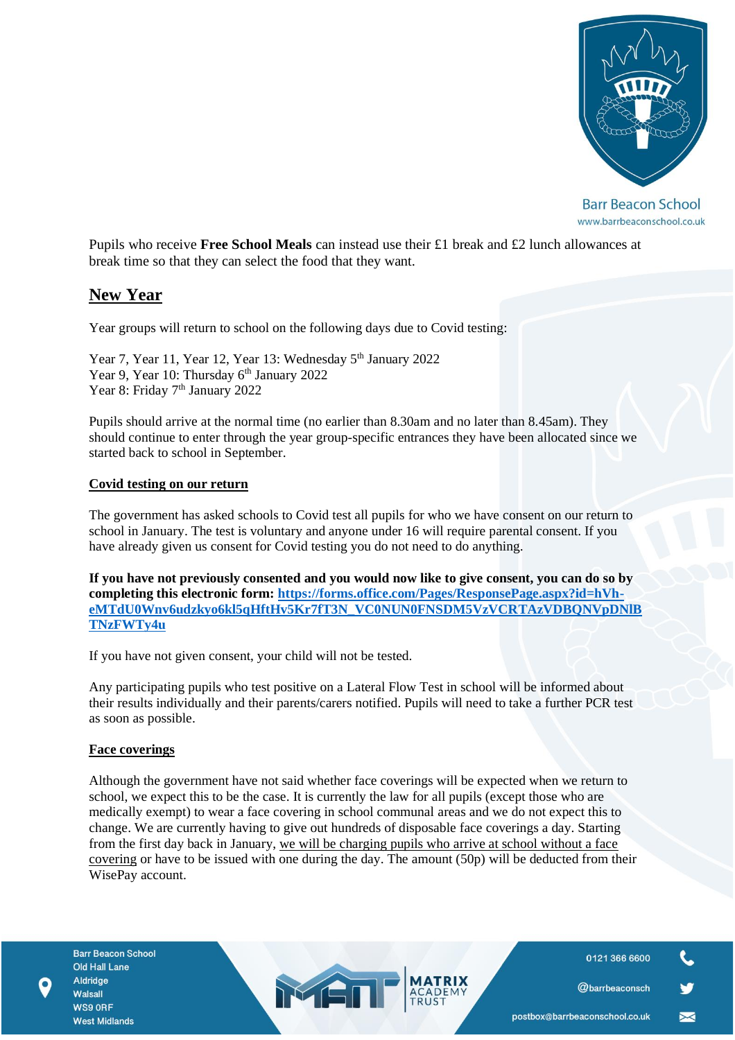

**Barr Beacon School** www.barrbeaconschool.co.uk

Pupils who receive **Free School Meals** can instead use their £1 break and £2 lunch allowances at break time so that they can select the food that they want.

# **New Year**

Year groups will return to school on the following days due to Covid testing:

Year 7, Year 11, Year 12, Year 13: Wednesday 5<sup>th</sup> January 2022 Year 9, Year 10: Thursday 6<sup>th</sup> January 2022 Year 8: Friday 7<sup>th</sup> January 2022

Pupils should arrive at the normal time (no earlier than 8.30am and no later than 8.45am). They should continue to enter through the year group-specific entrances they have been allocated since we started back to school in September.

#### **Covid testing on our return**

The government has asked schools to Covid test all pupils for who we have consent on our return to school in January. The test is voluntary and anyone under 16 will require parental consent. If you have already given us consent for Covid testing you do not need to do anything.

**If you have not previously consented and you would now like to give consent, you can do so by completing this electronic form: [https://forms.office.com/Pages/ResponsePage.aspx?id=hVh](https://forms.office.com/Pages/ResponsePage.aspx?id=hVh-eMTdU0Wnv6udzkyo6kl5qHftHv5Kr7fT3N_VC0NUN0FNSDM5VzVCRTAzVDBQNVpDNlBTNzFWTy4u)[eMTdU0Wnv6udzkyo6kl5qHftHv5Kr7fT3N\\_VC0NUN0FNSDM5VzVCRTAzVDBQNVpDNlB](https://forms.office.com/Pages/ResponsePage.aspx?id=hVh-eMTdU0Wnv6udzkyo6kl5qHftHv5Kr7fT3N_VC0NUN0FNSDM5VzVCRTAzVDBQNVpDNlBTNzFWTy4u) [TNzFWTy4u](https://forms.office.com/Pages/ResponsePage.aspx?id=hVh-eMTdU0Wnv6udzkyo6kl5qHftHv5Kr7fT3N_VC0NUN0FNSDM5VzVCRTAzVDBQNVpDNlBTNzFWTy4u)**

If you have not given consent, your child will not be tested.

Any participating pupils who test positive on a Lateral Flow Test in school will be informed about their results individually and their parents/carers notified. Pupils will need to take a further PCR test as soon as possible.

#### **Face coverings**

Although the government have not said whether face coverings will be expected when we return to school, we expect this to be the case. It is currently the law for all pupils (except those who are medically exempt) to wear a face covering in school communal areas and we do not expect this to change. We are currently having to give out hundreds of disposable face coverings a day. Starting from the first day back in January, we will be charging pupils who arrive at school without a face covering or have to be issued with one during the day. The amount (50p) will be deducted from their WisePay account.

MET

0121 366 6600

@barrbeaconsch

 $\blacktriangleright$